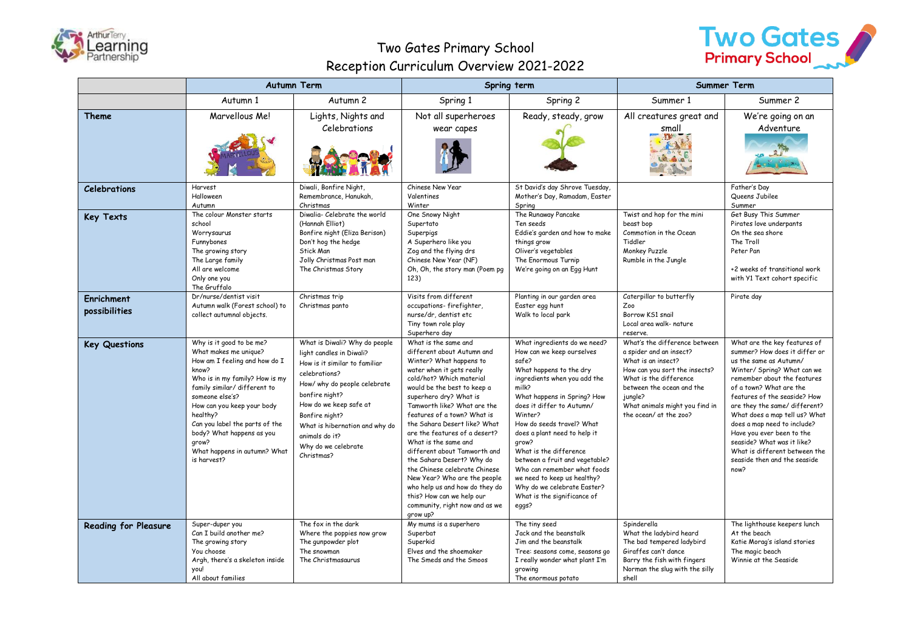

## Two Gates Primary School Reception Curriculum Overview 2021-2022



|                                    | <b>Autumn Term</b>                                                                                                                                                                                                                                                                                                                                |                                                                                                                                                                                                                                                                                                    | Spring term                                                                                                                                                                                                                                                                                                                                                                                                                                                                                                                                                                                       |                                                                                                                                                                                                                                                                                                                                                                                                                                                                                      | <b>Summer Term</b>                                                                                                                                                                                                                            |                                                                                                                                                                                                                                                                                                                                                                                                                                                       |
|------------------------------------|---------------------------------------------------------------------------------------------------------------------------------------------------------------------------------------------------------------------------------------------------------------------------------------------------------------------------------------------------|----------------------------------------------------------------------------------------------------------------------------------------------------------------------------------------------------------------------------------------------------------------------------------------------------|---------------------------------------------------------------------------------------------------------------------------------------------------------------------------------------------------------------------------------------------------------------------------------------------------------------------------------------------------------------------------------------------------------------------------------------------------------------------------------------------------------------------------------------------------------------------------------------------------|--------------------------------------------------------------------------------------------------------------------------------------------------------------------------------------------------------------------------------------------------------------------------------------------------------------------------------------------------------------------------------------------------------------------------------------------------------------------------------------|-----------------------------------------------------------------------------------------------------------------------------------------------------------------------------------------------------------------------------------------------|-------------------------------------------------------------------------------------------------------------------------------------------------------------------------------------------------------------------------------------------------------------------------------------------------------------------------------------------------------------------------------------------------------------------------------------------------------|
|                                    | Autumn 1                                                                                                                                                                                                                                                                                                                                          | Autumn 2                                                                                                                                                                                                                                                                                           | Spring 1                                                                                                                                                                                                                                                                                                                                                                                                                                                                                                                                                                                          | Spring 2                                                                                                                                                                                                                                                                                                                                                                                                                                                                             | Summer 1                                                                                                                                                                                                                                      | Summer 2                                                                                                                                                                                                                                                                                                                                                                                                                                              |
| Theme                              | Marvellous Me!                                                                                                                                                                                                                                                                                                                                    | Lights, Nights and<br>Celebrations                                                                                                                                                                                                                                                                 | Not all superheroes<br>wear capes                                                                                                                                                                                                                                                                                                                                                                                                                                                                                                                                                                 | Ready, steady, grow                                                                                                                                                                                                                                                                                                                                                                                                                                                                  | All creatures great and<br>small<br>不好                                                                                                                                                                                                        | We're going on an<br>Adventure                                                                                                                                                                                                                                                                                                                                                                                                                        |
| <b>Celebrations</b>                | Harvest<br>Halloween<br>Autumn                                                                                                                                                                                                                                                                                                                    | Diwali, Bonfire Night,<br>Remembrance, Hanukah,<br>Christmas                                                                                                                                                                                                                                       | Chinese New Year<br>Valentines<br>Winter                                                                                                                                                                                                                                                                                                                                                                                                                                                                                                                                                          | St David's day Shrove Tuesday,<br>Mother's Day, Ramadam, Easter<br>Spring                                                                                                                                                                                                                                                                                                                                                                                                            |                                                                                                                                                                                                                                               | Father's Day<br>Queens Jubilee<br>Summer                                                                                                                                                                                                                                                                                                                                                                                                              |
| <b>Key Texts</b>                   | The colour Monster starts<br>school<br>Worrysaurus<br>Funnybones<br>The growing story<br>The Large family<br>All are welcome<br>Only one you<br>The Gruffalo                                                                                                                                                                                      | Diwalia- Celebrate the world<br>(Hannah Elliot)<br>Bonfire night (Eliza Berison)<br>Don't hog the hedge<br>Stick Man<br>Jolly Christmas Post man<br>The Christmas Story                                                                                                                            | One Snowy Night<br>Supertato<br>Superpigs<br>A Superhero like you<br>Zog and the flying drs<br>Chinese New Year (NF)<br>Oh, Oh, the story man (Poem pg<br>123)                                                                                                                                                                                                                                                                                                                                                                                                                                    | The Runaway Pancake<br>Ten seeds<br>Eddie's garden and how to make<br>things grow<br>Oliver's vegetables<br>The Enormous Turnip<br>We're going on an Egg Hunt                                                                                                                                                                                                                                                                                                                        | Twist and hop for the mini<br>beast bop<br>Commotion in the Ocean<br>Tiddler<br>Monkey Puzzle<br>Rumble in the Jungle                                                                                                                         | Get Busy This Summer<br>Pirates love underpants<br>On the sea shore<br>The Troll<br>Peter Pan<br>+2 weeks of transitional work<br>with Y1 Text cohort specific                                                                                                                                                                                                                                                                                        |
| <b>Enrichment</b><br>possibilities | Dr/nurse/dentist visit<br>Autumn walk (Forest school) to<br>collect autumnal objects.                                                                                                                                                                                                                                                             | Christmas trip<br>Christmas panto                                                                                                                                                                                                                                                                  | Visits from different<br>occupations-firefighter,<br>nurse/dr, dentist etc<br>Tiny town role play<br>Superhero day                                                                                                                                                                                                                                                                                                                                                                                                                                                                                | Planting in our garden area<br>Easter egg hunt<br>Walk to local park                                                                                                                                                                                                                                                                                                                                                                                                                 | Caterpillar to butterfly<br>Zoo<br>Borrow KS1 snail<br>Local area walk- nature<br>reserve.                                                                                                                                                    | Pirate day                                                                                                                                                                                                                                                                                                                                                                                                                                            |
| <b>Key Questions</b>               | Why is it good to be me?<br>What makes me unique?<br>How am I feeling and how do I<br>know?<br>Who is in my family? How is my<br>family similar/ different to<br>someone else's?<br>How can you keep your body<br>healthy?<br>Can you label the parts of the<br>body? What happens as you<br>qrow?<br>What happens in autumn? What<br>is harvest? | What is Diwali? Why do people<br>light candles in Diwali?<br>How is it similar to familiar<br>celebrations?<br>How/ why do people celebrate<br>bonfire night?<br>How do we keep safe at<br>Bonfire night?<br>What is hibernation and why do<br>animals do it?<br>Why do we celebrate<br>Christmas? | What is the same and<br>different about Autumn and<br>Winter? What happens to<br>water when it gets really<br>cold/hot? Which material<br>would be the best to keep a<br>superhero dry? What is<br>Tamworth like? What are the<br>features of a town? What is<br>the Sahara Desert like? What<br>are the features of a desert?<br>What is the same and<br>different about Tamworth and<br>the Sahara Desert? Why do<br>the Chinese celebrate Chinese<br>New Year? Who are the people<br>who help us and how do they do<br>this? How can we help our<br>community, right now and as we<br>qrow up? | What ingredients do we need?<br>How can we keep ourselves<br>safe?<br>What happens to the dry<br>ingredients when you add the<br>milk?<br>What happens in Spring? How<br>does it differ to Autumn/<br>Winter?<br>How do seeds travel? What<br>does a plant need to help it<br>qrow?<br>What is the difference<br>between a fruit and vegetable?<br>Who can remember what foods<br>we need to keep us healthy?<br>Why do we celebrate Easter?<br>What is the significance of<br>eggs? | What's the difference between<br>a spider and an insect?<br>What is an insect?<br>How can you sort the insects?<br>What is the difference<br>between the ocean and the<br>jungle?<br>What animals might you find in<br>the ocean/ at the zoo? | What are the key features of<br>summer? How does it differ or<br>us the same as Autumn/<br>Winter/ Spring? What can we<br>remember about the features<br>of a town? What are the<br>features of the seaside? How<br>are they the same/ different?<br>What does a map tell us? What<br>does a map need to include?<br>Have you ever been to the<br>seaside? What was it like?<br>What is different between the<br>seaside then and the seaside<br>now? |
| <b>Reading for Pleasure</b>        | Super-duper you<br>Can I build another me?<br>The growing story<br>You choose<br>Argh, there's a skeleton inside<br>you!<br>All about families                                                                                                                                                                                                    | The fox in the dark<br>Where the poppies now grow<br>The gunpowder plot<br>The snowman<br>The Christmasaurus                                                                                                                                                                                       | My mums is a superhero<br>Superbat<br>Superkid<br>Elves and the shoemaker<br>The Smeds and the Smoos                                                                                                                                                                                                                                                                                                                                                                                                                                                                                              | The tiny seed<br>Jack and the beanstalk<br>Jim and the beanstalk<br>Tree: seasons come, seasons go<br>I really wonder what plant I'm<br>growing<br>The enormous potato                                                                                                                                                                                                                                                                                                               | Spinderella<br>What the ladybird heard<br>The bad tempered ladybird<br>Giraffes can't dance<br>Barry the fish with fingers<br>Norman the slug with the silly<br>shell                                                                         | The lighthouse keepers lunch<br>At the beach<br>Katie Morag's island stories<br>The magic beach<br>Winnie at the Seaside                                                                                                                                                                                                                                                                                                                              |